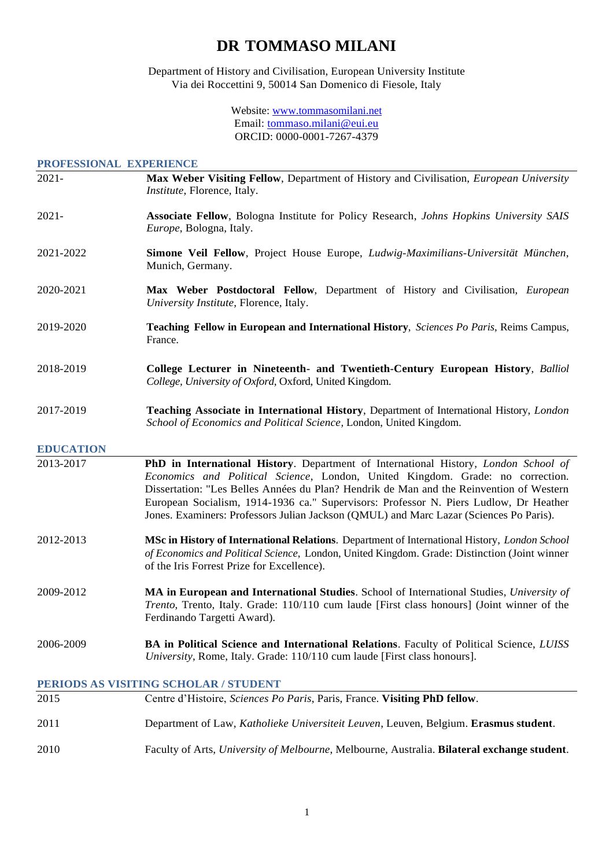## **DR TOMMASO MILANI**

Department of History and Civilisation, European University Institute Via dei Roccettini 9, 50014 San Domenico di Fiesole, Italy

> Website: [www.tommasomilani.net](http://www.tamarapopic.com/) Email: [tommaso.milani@eui.eu](mailto:tamara.popic@eui.eu) ORCID: 0000-0001-7267-4379

#### **PROFESSIONAL EXPERIENCE**

2021- **Max Weber Visiting Fellow**, Department of History and Civilisation, *European University Institute*, Florence, Italy. 2021- **Associate Fellow**, Bologna Institute for Policy Research, *Johns Hopkins University SAIS Europe*, Bologna, Italy. 2021-2022 **Simone Veil Fellow**, Project House Europe, *Ludwig-Maximilians-Universität München*, Munich, Germany. 2020-2021 **Max Weber Postdoctoral Fellow**, Department of History and Civilisation, *European University Institute*, Florence, Italy. 2019-2020 **Teaching Fellow in European and International History**, *Sciences Po Paris*, Reims Campus, France. 2018-2019 **College Lecturer in Nineteenth- and Twentieth-Century European History**, *Balliol College, University of Oxford*, Oxford, United Kingdom. 2017-2019 **Teaching Associate in International History**, Department of International History, *London School of Economics and Political Science,* London, United Kingdom. **EDUCATION** 2013-2017 **PhD in International History**. Department of International History, *London School of Economics and Political Science*, London, United Kingdom. Grade: no correction. Dissertation: "Les Belles Années du Plan? Hendrik de Man and the Reinvention of Western European Socialism, 1914-1936 ca." Supervisors: Professor N. Piers Ludlow, Dr Heather Jones. Examiners: Professors Julian Jackson (QMUL) and Marc Lazar (Sciences Po Paris). 2012-2013 **MSc in History of International Relations**. Department of International History, *London School of Economics and Political Science*, London, United Kingdom. Grade: Distinction (Joint winner of the Iris Forrest Prize for Excellence). 2009-2012 **MA in European and International Studies**. School of International Studies, *University of Trento*, Trento, Italy. Grade: 110/110 cum laude [First class honours] (Joint winner of the Ferdinando Targetti Award). 2006-2009 **BA in Political Science and International Relations**. Faculty of Political Science, *LUISS University*, Rome, Italy. Grade: 110/110 cum laude [First class honours]. **PERIODS AS VISITING SCHOLAR / STUDENT**  2015 Centre d'Histoire, *Sciences Po Paris*, Paris, France. **Visiting PhD fellow**.

| 2012. | Centre a Histoire, <i>Sciences Po Paris</i> , Paris, France. Visiting PhD fellow.                    |
|-------|------------------------------------------------------------------------------------------------------|
| 2011  | Department of Law, <i>Katholieke Universiteit Leuven</i> , Leuven, Belgium. <b>Erasmus student</b> . |
| 2010  | Faculty of Arts, University of Melbourne, Melbourne, Australia. <b>Bilateral exchange student</b> .  |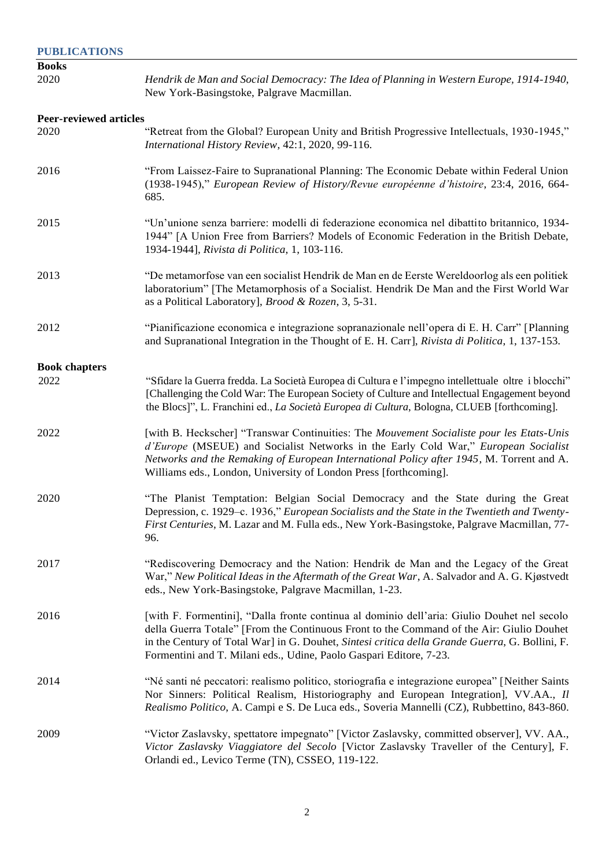### **PUBLICATIONS**

| <b>Books</b>                  |                                                                                                                                                                                                                                                                                                                                                                 |
|-------------------------------|-----------------------------------------------------------------------------------------------------------------------------------------------------------------------------------------------------------------------------------------------------------------------------------------------------------------------------------------------------------------|
| 2020                          | Hendrik de Man and Social Democracy: The Idea of Planning in Western Europe, 1914-1940,<br>New York-Basingstoke, Palgrave Macmillan.                                                                                                                                                                                                                            |
| <b>Peer-reviewed articles</b> |                                                                                                                                                                                                                                                                                                                                                                 |
| 2020                          | "Retreat from the Global? European Unity and British Progressive Intellectuals, 1930-1945,"<br>International History Review, 42:1, 2020, 99-116.                                                                                                                                                                                                                |
| 2016                          | "From Laissez-Faire to Supranational Planning: The Economic Debate within Federal Union<br>(1938-1945)," European Review of History/Revue européenne d'histoire, 23:4, 2016, 664-<br>685.                                                                                                                                                                       |
| 2015                          | "Un'unione senza barriere: modelli di federazione economica nel dibattito britannico, 1934-<br>1944" [A Union Free from Barriers? Models of Economic Federation in the British Debate,<br>1934-1944], Rivista di Politica, 1, 103-116.                                                                                                                          |
| 2013                          | "De metamorfose van een socialist Hendrik de Man en de Eerste Wereldoorlog als een politiek<br>laboratorium" [The Metamorphosis of a Socialist. Hendrik De Man and the First World War<br>as a Political Laboratory], Brood & Rozen, 3, 5-31.                                                                                                                   |
| 2012                          | "Pianificazione economica e integrazione sopranazionale nell'opera di E. H. Carr" [Planning<br>and Supranational Integration in the Thought of E. H. Carr], Rivista di Politica, 1, 137-153.                                                                                                                                                                    |
|                               |                                                                                                                                                                                                                                                                                                                                                                 |
| <b>Book chapters</b><br>2022  | "Sfidare la Guerra fredda. La Società Europea di Cultura e l'impegno intellettuale oltre i blocchi"<br>[Challenging the Cold War: The European Society of Culture and Intellectual Engagement beyond<br>the Blocs]", L. Franchini ed., La Società Europea di Cultura, Bologna, CLUEB [forthcoming].                                                             |
| 2022                          | [with B. Heckscher] "Transwar Continuities: The Mouvement Socialiste pour les Etats-Unis<br>d'Europe (MSEUE) and Socialist Networks in the Early Cold War," European Socialist<br>Networks and the Remaking of European International Policy after 1945, M. Torrent and A.<br>Williams eds., London, University of London Press [forthcoming].                  |
| 2020                          | "The Planist Temptation: Belgian Social Democracy and the State during the Great<br>Depression, c. 1929–c. 1936," European Socialists and the State in the Twentieth and Twenty-<br>First Centuries, M. Lazar and M. Fulla eds., New York-Basingstoke, Palgrave Macmillan, 77-<br>96.                                                                           |
| 2017                          | "Rediscovering Democracy and the Nation: Hendrik de Man and the Legacy of the Great<br>War," New Political Ideas in the Aftermath of the Great War, A. Salvador and A. G. Kjøstvedt<br>eds., New York-Basingstoke, Palgrave Macmillan, 1-23.                                                                                                                    |
| 2016                          | [with F. Formentini], "Dalla fronte continua al dominio dell'aria: Giulio Douhet nel secolo<br>della Guerra Totale" [From the Continuous Front to the Command of the Air: Giulio Douhet<br>in the Century of Total War] in G. Douhet, Sintesi critica della Grande Guerra, G. Bollini, F.<br>Formentini and T. Milani eds., Udine, Paolo Gaspari Editore, 7-23. |
| 2014                          | "Né santi né peccatori: realismo politico, storiografia e integrazione europea" [Neither Saints<br>Nor Sinners: Political Realism, Historiography and European Integration], VV.AA., Il<br>Realismo Politico, A. Campi e S. De Luca eds., Soveria Mannelli (CZ), Rubbettino, 843-860.                                                                           |
| 2009                          | "Victor Zaslavsky, spettatore impegnato" [Victor Zaslavsky, committed observer], VV. AA.,<br>Victor Zaslavsky Viaggiatore del Secolo [Victor Zaslavsky Traveller of the Century], F.<br>Orlandi ed., Levico Terme (TN), CSSEO, 119-122.                                                                                                                         |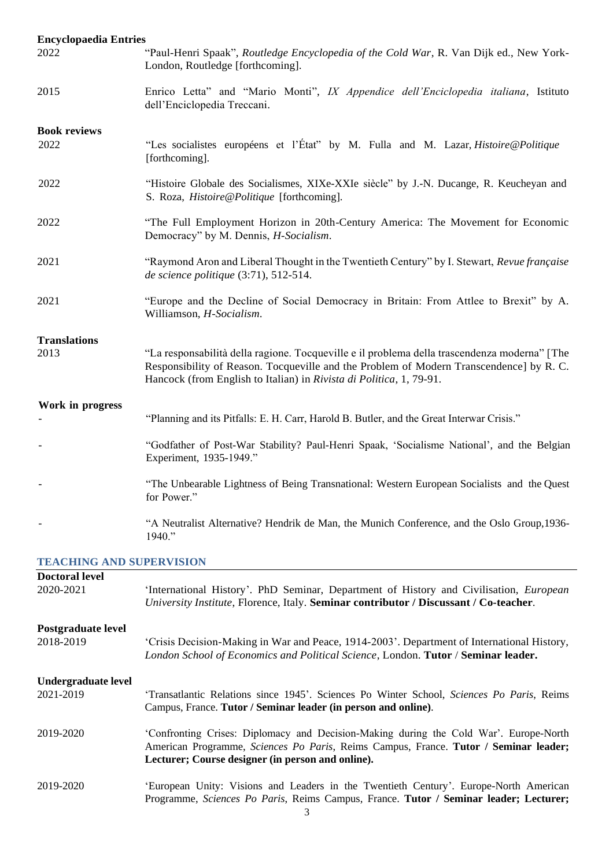| <b>Encyclopaedia Entries</b>    |                                                                                                                                                                                                                                                                |
|---------------------------------|----------------------------------------------------------------------------------------------------------------------------------------------------------------------------------------------------------------------------------------------------------------|
| 2022                            | "Paul-Henri Spaak", Routledge Encyclopedia of the Cold War, R. Van Dijk ed., New York-<br>London, Routledge [forthcoming].                                                                                                                                     |
| 2015                            | Enrico Letta" and "Mario Monti", IX Appendice dell'Enciclopedia italiana, Istituto<br>dell'Enciclopedia Treccani.                                                                                                                                              |
| <b>Book reviews</b>             |                                                                                                                                                                                                                                                                |
| 2022                            | "Les socialistes européens et l'État" by M. Fulla and M. Lazar, <i>Histoire @Politique</i><br>[forthcoming].                                                                                                                                                   |
| 2022                            | "Histoire Globale des Socialismes, XIXe-XXIe siècle" by J.-N. Ducange, R. Keucheyan and<br>S. Roza, <i>Histoire@Politique</i> [forthcoming].                                                                                                                   |
| 2022                            | "The Full Employment Horizon in 20th-Century America: The Movement for Economic<br>Democracy" by M. Dennis, H-Socialism.                                                                                                                                       |
| 2021                            | "Raymond Aron and Liberal Thought in the Twentieth Century" by I. Stewart, Revue française<br>$de$ science politique $(3:71)$ , 512-514.                                                                                                                       |
| 2021                            | "Europe and the Decline of Social Democracy in Britain: From Attlee to Brexit" by A.<br>Williamson, H-Socialism.                                                                                                                                               |
| <b>Translations</b>             |                                                                                                                                                                                                                                                                |
| 2013                            | "La responsabilità della ragione. Tocqueville e il problema della trascendenza moderna" [The<br>Responsibility of Reason. Tocqueville and the Problem of Modern Transcendence] by R. C.<br>Hancock (from English to Italian) in Rivista di Politica, 1, 79-91. |
| Work in progress                |                                                                                                                                                                                                                                                                |
|                                 | "Planning and its Pitfalls: E. H. Carr, Harold B. Butler, and the Great Interwar Crisis."                                                                                                                                                                      |
|                                 | "Godfather of Post-War Stability? Paul-Henri Spaak, 'Socialisme National', and the Belgian<br>Experiment, 1935-1949."                                                                                                                                          |
|                                 | "The Unbearable Lightness of Being Transnational: Western European Socialists and the Quest<br>for Power."                                                                                                                                                     |
| $\overline{\phantom{a}}$        | "A Neutralist Alternative? Hendrik de Man, the Munich Conference, and the Oslo Group, 1936-<br>1940."                                                                                                                                                          |
| <b>TEACHING AND SUPERVISION</b> |                                                                                                                                                                                                                                                                |
| <b>Doctoral level</b>           |                                                                                                                                                                                                                                                                |
| 2020-2021                       | 'International History' PhD Seminar Department of History and Civilisation European                                                                                                                                                                            |

| Dvcwlai Ictu        | 'International History'. PhD Seminar, Department of History and Civilisation, <i>European</i>                                                                                                                                      |
|---------------------|------------------------------------------------------------------------------------------------------------------------------------------------------------------------------------------------------------------------------------|
| 2020-2021           | University Institute, Florence, Italy. Seminar contributor / Discussant / Co-teacher.                                                                                                                                              |
| Postgraduate level  | 'Crisis Decision-Making in War and Peace, 1914-2003'. Department of International History,                                                                                                                                         |
| 2018-2019           | London School of Economics and Political Science, London. Tutor / Seminar leader.                                                                                                                                                  |
| Undergraduate level | 'Transatlantic Relations since 1945'. Sciences Po Winter School, Sciences Po Paris, Reims                                                                                                                                          |
| 2021-2019           | Campus, France. Tutor / Seminar leader (in person and online).                                                                                                                                                                     |
| 2019-2020           | 'Confronting Crises: Diplomacy and Decision-Making during the Cold War'. Europe-North<br>American Programme, Sciences Po Paris, Reims Campus, France. Tutor / Seminar leader;<br>Lecturer; Course designer (in person and online). |
| 2019-2020           | 'European Unity: Visions and Leaders in the Twentieth Century'. Europe-North American<br>Programme, Sciences Po Paris, Reims Campus, France. Tutor / Seminar leader; Lecturer;<br>$\mathcal{L}$                                    |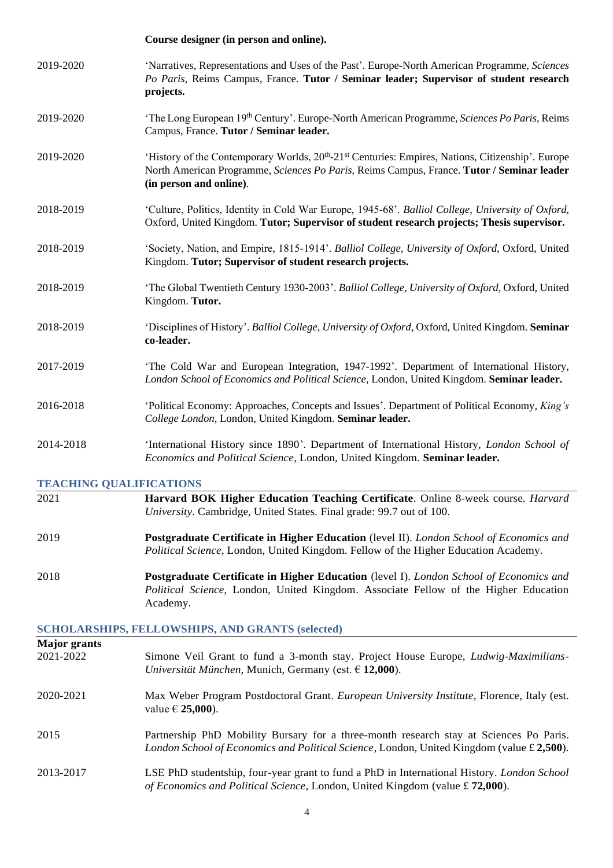**Course designer (in person and online).** 2019-2020 'Narratives, Representations and Uses of the Past'. Europe-North American Programme, *Sciences Po Paris*, Reims Campus, France. **Tutor / Seminar leader; Supervisor of student research projects.** 2019-2020 'The Long European 19th Century'. Europe-North American Programme, *Sciences Po Paris*, Reims Campus, France. **Tutor / Seminar leader.** 2019-2020 'History of the Contemporary Worlds, 20<sup>th</sup>-21<sup>st</sup> Centuries: Empires, Nations, Citizenship'. Europe North American Programme, *Sciences Po Paris*, Reims Campus, France. **Tutor / Seminar leader (in person and online)**. 2018-2019 'Culture, Politics, Identity in Cold War Europe, 1945-68'. *Balliol College*, *University of Oxford*, Oxford, United Kingdom. **Tutor; Supervisor of student research projects; Thesis supervisor.** 2018-2019 'Society, Nation, and Empire, 1815-1914'. *Balliol College*, *University of Oxford*, Oxford, United Kingdom. **Tutor; Supervisor of student research projects.** 2018-2019 'The Global Twentieth Century 1930-2003'. *Balliol College*, *University of Oxford*, Oxford, United Kingdom. **Tutor.** 2018-2019 'Disciplines of History'. *Balliol College*, *University of Oxford*, Oxford, United Kingdom. **Seminar co-leader.** 2017-2019 'The Cold War and European Integration, 1947-1992'. Department of International History, *London School of Economics and Political Science*, London, United Kingdom. **Seminar leader.**  2016-2018 'Political Economy: Approaches, Concepts and Issues'. Department of Political Economy, *King's College London*, London, United Kingdom. **Seminar leader.** 2014-2018 'International History since 1890'. Department of International History, *London School of Economics and Political Science*, London, United Kingdom. **Seminar leader. TEACHING QUALIFICATIONS** 2021 **Harvard BOK Higher Education Teaching Certificate**. Online 8-week course. *Harvard University*. Cambridge, United States. Final grade: 99.7 out of 100. 2019 **Postgraduate Certificate in Higher Education** (level II). *London School of Economics and Political Science*, London, United Kingdom. Fellow of the Higher Education Academy. 2018 **Postgraduate Certificate in Higher Education** (level I). *London School of Economics and Political Science*, London, United Kingdom. Associate Fellow of the Higher Education Academy. **SCHOLARSHIPS, FELLOWSHIPS, AND GRANTS (selected) Major grants** 2021-2022 Simone Veil Grant to fund a 3-month stay. Project House Europe, *Ludwig-Maximilians-*

- *Universität München*, Munich, Germany (est. € **12,000**). 2020-2021 Max Weber Program Postdoctoral Grant. *European University Institute*, Florence, Italy (est. value € **25,000**). 2015 Partnership PhD Mobility Bursary for a three-month research stay at Sciences Po Paris.
- *London School of Economics and Political Science*, London, United Kingdom (value £ **2,500**).
- 2013-2017 LSE PhD studentship, four-year grant to fund a PhD in International History. *London School of Economics and Political Science*, London, United Kingdom (value £ **72,000**).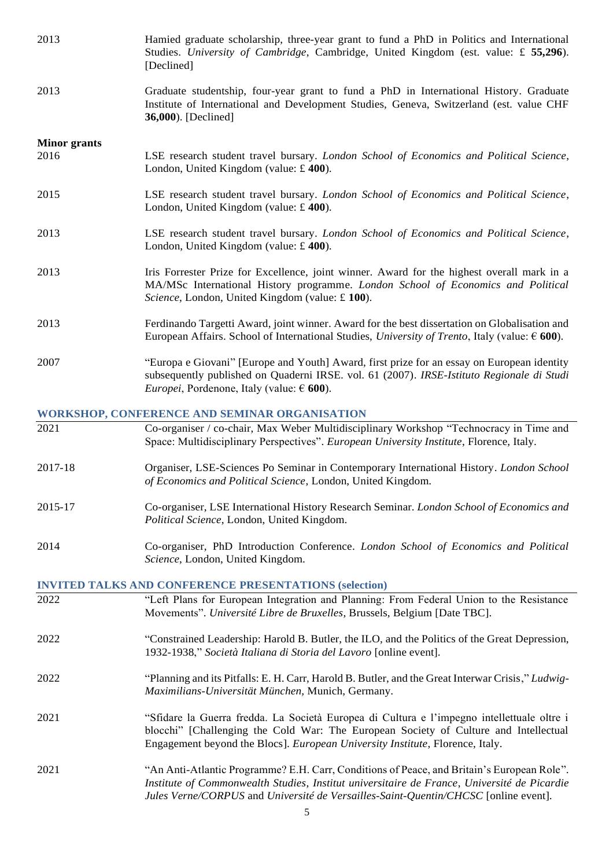| 2013                | Hamied graduate scholarship, three-year grant to fund a PhD in Politics and International<br>Studies. University of Cambridge, Cambridge, United Kingdom (est. value: £ 55,296).<br>[Declined]                                                                                   |
|---------------------|----------------------------------------------------------------------------------------------------------------------------------------------------------------------------------------------------------------------------------------------------------------------------------|
| 2013                | Graduate studentship, four-year grant to fund a PhD in International History. Graduate<br>Institute of International and Development Studies, Geneva, Switzerland (est. value CHF<br><b>36,000</b> ). [Declined]                                                                 |
| <b>Minor</b> grants |                                                                                                                                                                                                                                                                                  |
| 2016                | LSE research student travel bursary. London School of Economics and Political Science,<br>London, United Kingdom (value: £400).                                                                                                                                                  |
| 2015                | LSE research student travel bursary. London School of Economics and Political Science,<br>London, United Kingdom (value: £400).                                                                                                                                                  |
| 2013                | LSE research student travel bursary. London School of Economics and Political Science,<br>London, United Kingdom (value: $£$ 400).                                                                                                                                               |
| 2013                | Iris Forrester Prize for Excellence, joint winner. Award for the highest overall mark in a<br>MA/MSc International History programme. London School of Economics and Political<br>Science, London, United Kingdom (value: £100).                                                 |
| 2013                | Ferdinando Targetti Award, joint winner. Award for the best dissertation on Globalisation and<br>European Affairs. School of International Studies, University of Trento, Italy (value: $\epsilon$ 600).                                                                         |
| 2007                | "Europa e Giovani" [Europe and Youth] Award, first prize for an essay on European identity<br>subsequently published on Quaderni IRSE. vol. 61 (2007). IRSE-Istituto Regionale di Studi<br><i>Europei</i> , Pordenone, Italy (value: $\epsilon$ 600).                            |
|                     | <b>WORKSHOP, CONFERENCE AND SEMINAR ORGANISATION</b>                                                                                                                                                                                                                             |
| 2021                | Co-organiser / co-chair, Max Weber Multidisciplinary Workshop "Technocracy in Time and<br>Space: Multidisciplinary Perspectives". European University Institute, Florence, Italy.                                                                                                |
| 2017-18             | Organiser, LSE-Sciences Po Seminar in Contemporary International History. London School<br>of Economics and Political Science, London, United Kingdom.                                                                                                                           |
| 2015-17             | Co-organiser, LSE International History Research Seminar. London School of Economics and<br>Political Science, London, United Kingdom.                                                                                                                                           |
| 2014                | Co-organiser, PhD Introduction Conference. London School of Economics and Political<br>Science, London, United Kingdom.                                                                                                                                                          |
|                     | <b>INVITED TALKS AND CONFERENCE PRESENTATIONS (selection)</b>                                                                                                                                                                                                                    |
| 2022                | "Left Plans for European Integration and Planning: From Federal Union to the Resistance<br>Movements". Université Libre de Bruxelles, Brussels, Belgium [Date TBC].                                                                                                              |
| 2022                | "Constrained Leadership: Harold B. Butler, the ILO, and the Politics of the Great Depression,<br>1932-1938," Società Italiana di Storia del Lavoro [online event].                                                                                                               |
| 2022                | "Planning and its Pitfalls: E. H. Carr, Harold B. Butler, and the Great Interwar Crisis," Ludwig-<br>Maximilians-Universität München, Munich, Germany.                                                                                                                           |
| 2021                | "Sfidare la Guerra fredda. La Società Europea di Cultura e l'impegno intellettuale oltre i<br>blocchi" [Challenging the Cold War: The European Society of Culture and Intellectual<br>Engagement beyond the Blocs]. European University Institute, Florence, Italy.              |
| 2021                | "An Anti-Atlantic Programme? E.H. Carr, Conditions of Peace, and Britain's European Role".<br>Institute of Commonwealth Studies, Institut universitaire de France, Université de Picardie<br>Jules Verne/CORPUS and Université de Versailles-Saint-Quentin/CHCSC [online event]. |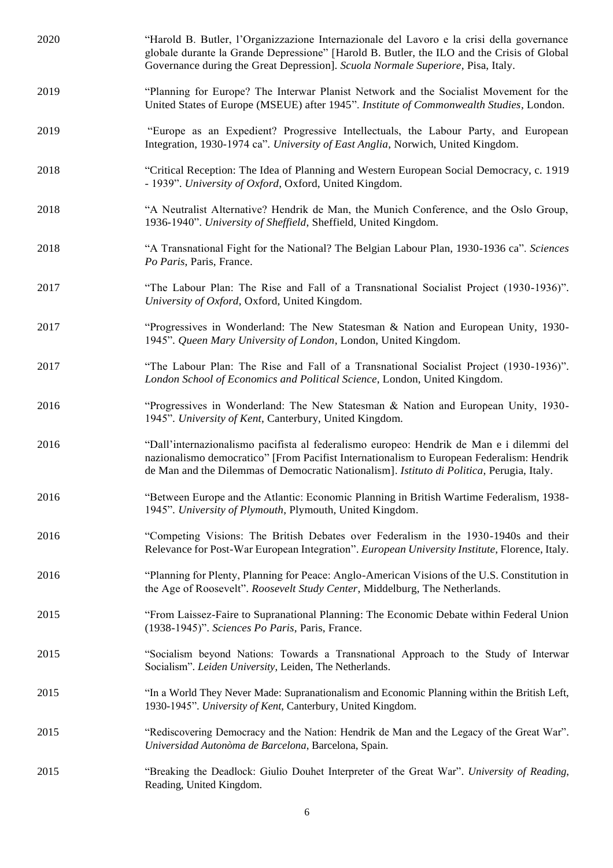| 2020 | "Harold B. Butler, l'Organizzazione Internazionale del Lavoro e la crisi della governance<br>globale durante la Grande Depressione" [Harold B. Butler, the ILO and the Crisis of Global<br>Governance during the Great Depression]. Scuola Normale Superiore, Pisa, Italy.         |
|------|------------------------------------------------------------------------------------------------------------------------------------------------------------------------------------------------------------------------------------------------------------------------------------|
| 2019 | "Planning for Europe? The Interwar Planist Network and the Socialist Movement for the<br>United States of Europe (MSEUE) after 1945". Institute of Commonwealth Studies, London.                                                                                                   |
| 2019 | "Europe as an Expedient? Progressive Intellectuals, the Labour Party, and European<br>Integration, 1930-1974 ca". University of East Anglia, Norwich, United Kingdom.                                                                                                              |
| 2018 | "Critical Reception: The Idea of Planning and Western European Social Democracy, c. 1919<br>- 1939". University of Oxford, Oxford, United Kingdom.                                                                                                                                 |
| 2018 | "A Neutralist Alternative? Hendrik de Man, the Munich Conference, and the Oslo Group,<br>1936-1940". University of Sheffield, Sheffield, United Kingdom.                                                                                                                           |
| 2018 | "A Transnational Fight for the National? The Belgian Labour Plan, 1930-1936 ca". Sciences<br>Po Paris, Paris, France.                                                                                                                                                              |
| 2017 | "The Labour Plan: The Rise and Fall of a Transnational Socialist Project (1930-1936)".<br>University of Oxford, Oxford, United Kingdom.                                                                                                                                            |
| 2017 | "Progressives in Wonderland: The New Statesman & Nation and European Unity, 1930-<br>1945". Queen Mary University of London, London, United Kingdom.                                                                                                                               |
| 2017 | "The Labour Plan: The Rise and Fall of a Transnational Socialist Project (1930-1936)".<br>London School of Economics and Political Science, London, United Kingdom.                                                                                                                |
| 2016 | "Progressives in Wonderland: The New Statesman & Nation and European Unity, 1930-<br>1945". University of Kent, Canterbury, United Kingdom.                                                                                                                                        |
| 2016 | "Dall'internazionalismo pacifista al federalismo europeo: Hendrik de Man e i dilemmi del<br>nazionalismo democratico" [From Pacifist Internationalism to European Federalism: Hendrik<br>de Man and the Dilemmas of Democratic Nationalism]. Istituto di Politica, Perugia, Italy. |
| 2016 | "Between Europe and the Atlantic: Economic Planning in British Wartime Federalism, 1938-<br>1945". University of Plymouth, Plymouth, United Kingdom.                                                                                                                               |
| 2016 | "Competing Visions: The British Debates over Federalism in the 1930-1940s and their<br>Relevance for Post-War European Integration". European University Institute, Florence, Italy.                                                                                               |
| 2016 | "Planning for Plenty, Planning for Peace: Anglo-American Visions of the U.S. Constitution in<br>the Age of Roosevelt". Roosevelt Study Center, Middelburg, The Netherlands.                                                                                                        |
| 2015 | "From Laissez-Faire to Supranational Planning: The Economic Debate within Federal Union<br>(1938-1945)". Sciences Po Paris, Paris, France.                                                                                                                                         |
| 2015 | "Socialism beyond Nations: Towards a Transnational Approach to the Study of Interwar<br>Socialism". Leiden University, Leiden, The Netherlands.                                                                                                                                    |
| 2015 | "In a World They Never Made: Supranationalism and Economic Planning within the British Left,<br>1930-1945". University of Kent, Canterbury, United Kingdom.                                                                                                                        |
| 2015 | "Rediscovering Democracy and the Nation: Hendrik de Man and the Legacy of the Great War".<br>Universidad Autonòma de Barcelona, Barcelona, Spain.                                                                                                                                  |
| 2015 | "Breaking the Deadlock: Giulio Douhet Interpreter of the Great War". University of Reading,<br>Reading, United Kingdom.                                                                                                                                                            |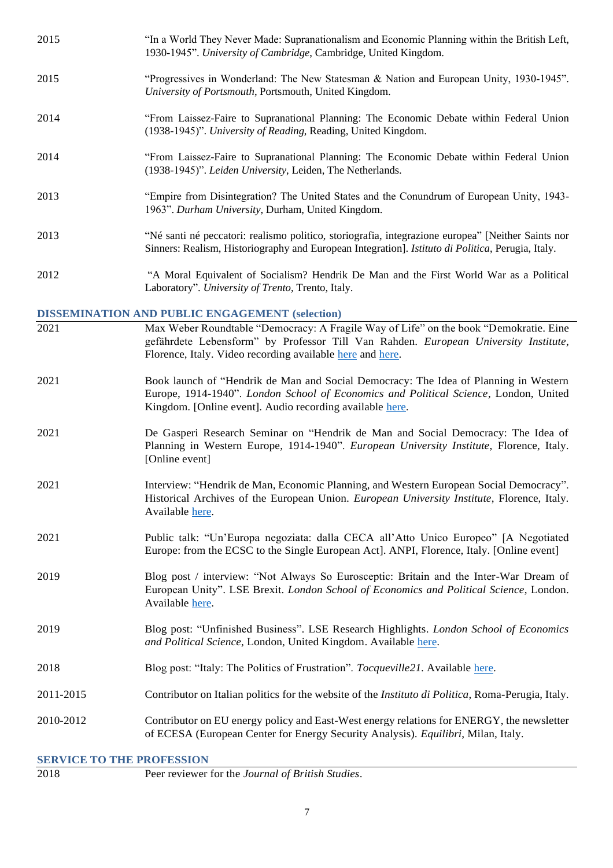| 2015                             | "In a World They Never Made: Supranationalism and Economic Planning within the British Left,<br>1930-1945". University of Cambridge, Cambridge, United Kingdom.                                                                           |
|----------------------------------|-------------------------------------------------------------------------------------------------------------------------------------------------------------------------------------------------------------------------------------------|
| 2015                             | "Progressives in Wonderland: The New Statesman & Nation and European Unity, 1930-1945".<br>University of Portsmouth, Portsmouth, United Kingdom.                                                                                          |
| 2014                             | "From Laissez-Faire to Supranational Planning: The Economic Debate within Federal Union<br>(1938-1945)". University of Reading, Reading, United Kingdom.                                                                                  |
| 2014                             | "From Laissez-Faire to Supranational Planning: The Economic Debate within Federal Union<br>(1938-1945)". Leiden University, Leiden, The Netherlands.                                                                                      |
| 2013                             | "Empire from Disintegration? The United States and the Conundrum of European Unity, 1943-<br>1963". Durham University, Durham, United Kingdom.                                                                                            |
| 2013                             | "Né santi né peccatori: realismo politico, storiografia, integrazione europea" [Neither Saints nor<br>Sinners: Realism, Historiography and European Integration]. <i>Istituto di Politica</i> , Perugia, Italy.                           |
| 2012                             | "A Moral Equivalent of Socialism? Hendrik De Man and the First World War as a Political<br>Laboratory". University of Trento, Trento, Italy.                                                                                              |
|                                  | <b>DISSEMINATION AND PUBLIC ENGAGEMENT (selection)</b>                                                                                                                                                                                    |
| 2021                             | Max Weber Roundtable "Democracy: A Fragile Way of Life" on the book "Demokratie. Eine<br>gefährdete Lebensform" by Professor Till Van Rahden. European University Institute,<br>Florence, Italy. Video recording available here and here. |
| 2021                             | Book launch of "Hendrik de Man and Social Democracy: The Idea of Planning in Western<br>Europe, 1914-1940". London School of Economics and Political Science, London, United<br>Kingdom. [Online event]. Audio recording available here.  |
| 2021                             | De Gasperi Research Seminar on "Hendrik de Man and Social Democracy: The Idea of<br>Planning in Western Europe, 1914-1940". European University Institute, Florence, Italy.<br>[Online event]                                             |
| 2021                             | Interview: "Hendrik de Man, Economic Planning, and Western European Social Democracy".<br>Historical Archives of the European Union. European University Institute, Florence, Italy.<br>Available here.                                   |
| 2021                             | Public talk: "Un'Europa negoziata: dalla CECA all'Atto Unico Europeo" [A Negotiated<br>Europe: from the ECSC to the Single European Act]. ANPI, Florence, Italy. [Online event]                                                           |
| 2019                             | Blog post / interview: "Not Always So Eurosceptic: Britain and the Inter-War Dream of<br>European Unity". LSE Brexit. London School of Economics and Political Science, London.<br>Available here.                                        |
| 2019                             | Blog post: "Unfinished Business". LSE Research Highlights. London School of Economics<br>and Political Science, London, United Kingdom. Available here.                                                                                   |
| 2018                             | Blog post: "Italy: The Politics of Frustration". <i>Tocqueville21</i> . Available here.                                                                                                                                                   |
| 2011-2015                        | Contributor on Italian politics for the website of the <i>Instituto di Politica</i> , Roma-Perugia, Italy.                                                                                                                                |
| 2010-2012                        | Contributor on EU energy policy and East-West energy relations for ENERGY, the newsletter<br>of ECESA (European Center for Energy Security Analysis). <i>Equilibri</i> , Milan, Italy.                                                    |
| <b>SERVICE TO THE PROFESSION</b> |                                                                                                                                                                                                                                           |

2018 Peer reviewer for the *Journal of British Studies*.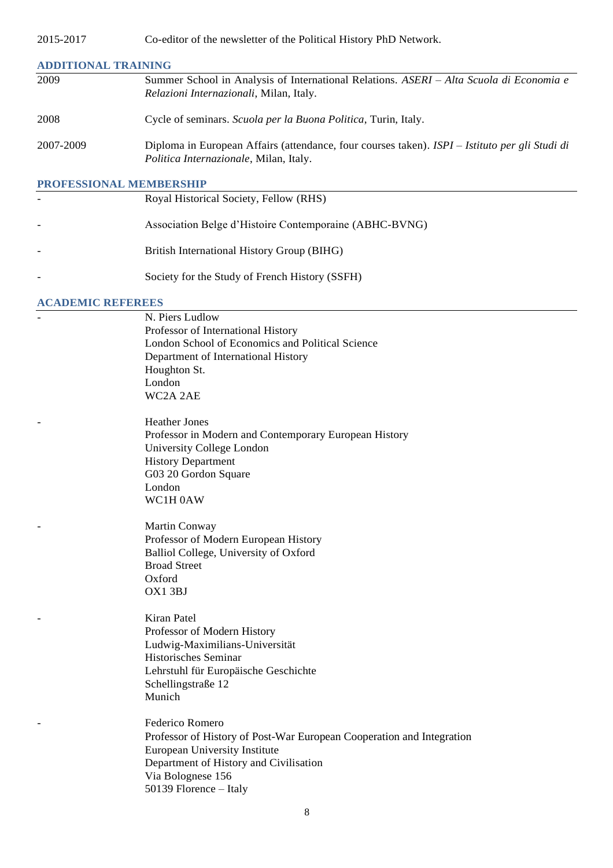2015-2017 Co-editor of the newsletter of the Political History PhD Network.

#### **ADDITIONAL TRAINING**

| 2009      | Summer School in Analysis of International Relations. ASERI – Alta Scuola di Economia e<br>Relazioni Internazionali, Milan, Italy.       |
|-----------|------------------------------------------------------------------------------------------------------------------------------------------|
| 2008      | Cycle of seminars. Scuola per la Buona Politica, Turin, Italy.                                                                           |
| 2007-2009 | Diploma in European Affairs (attendance, four courses taken). ISPI – Istituto per gli Studi di<br>Politica Internazionale, Milan, Italy. |

#### **PROFESSIONAL MEMBERSHIP**

| Royal Historical Society, Fellow (RHS)                 |
|--------------------------------------------------------|
| Association Belge d'Histoire Contemporaine (ABHC-BVNG) |
| British International History Group (BIHG)             |
| Society for the Study of French History (SSFH)         |

# **ACADEMIC REFEREES**

| - | N. Piers Ludlow                                                       |
|---|-----------------------------------------------------------------------|
|   | Professor of International History                                    |
|   | London School of Economics and Political Science                      |
|   | Department of International History                                   |
|   | Houghton St.                                                          |
|   | London                                                                |
|   | WC2A 2AE                                                              |
|   | <b>Heather Jones</b>                                                  |
|   | Professor in Modern and Contemporary European History                 |
|   | University College London                                             |
|   | <b>History Department</b>                                             |
|   | G03 20 Gordon Square                                                  |
|   | London                                                                |
|   | WC1H0AW                                                               |
| - | Martin Conway                                                         |
|   | Professor of Modern European History                                  |
|   | Balliol College, University of Oxford                                 |
|   | <b>Broad Street</b>                                                   |
|   | Oxford                                                                |
|   | OX13BJ                                                                |
| - | Kiran Patel                                                           |
|   | Professor of Modern History                                           |
|   | Ludwig-Maximilians-Universität                                        |
|   | Historisches Seminar                                                  |
|   | Lehrstuhl für Europäische Geschichte                                  |
|   | Schellingstraße 12                                                    |
|   | Munich                                                                |
| - | Federico Romero                                                       |
|   | Professor of History of Post-War European Cooperation and Integration |
|   | <b>European University Institute</b>                                  |
|   | Department of History and Civilisation                                |
|   | Via Bolognese 156                                                     |
|   | 50139 Florence - Italy                                                |
|   | 8                                                                     |